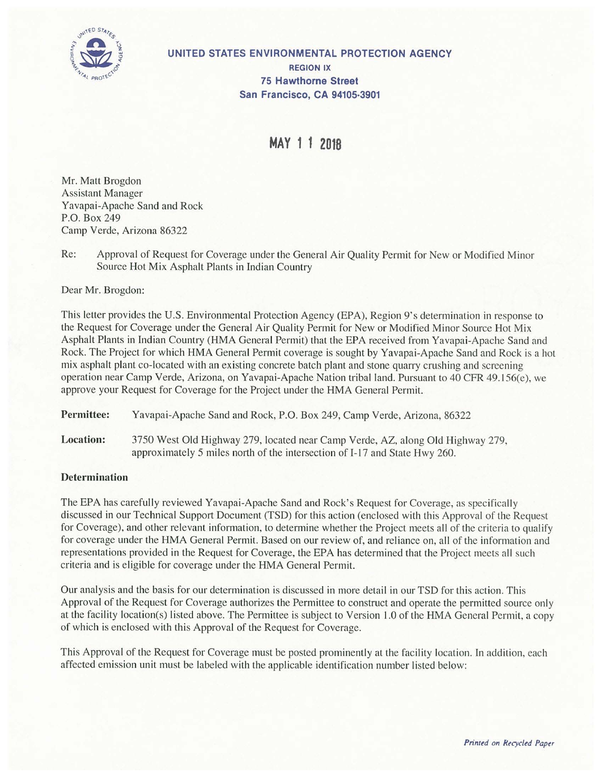

**UNITED STATES ENVIRONMENTAL PROTECTION AGENCY REGION IX 75 Hawthorne Street San Francisco, CA 94105-3901** 

**MAY 1 1 2018** 

Mr. Matt Brogdon Assistant Manager Yavapai-Apache Sand and Rock P.O. Box 249 Camp Verde, Arizona 86322

Re: Approval of Request for Coverage under the General Air Quality Permit for New or Modified Minor Source Hot Mix Asphalt Plants in Indian Country

Dear Mr. Brogdon:

This letter provides the U.S. Environmental Protection Agency (EPA), Region 9's determination in response to the Request for Coverage under the General Air Quality Permit for New or Modified Minor Source Hot Mix Asphalt Plants in Indian Country (HMA General Permit) that the EPA received from Yavapai-Apache Sand and Rock. The Project for which HMA General Permit coverage is sought by Yavapai-Apache Sand and Rock is a hot mix asphalt plant co-located with an existing concrete batch plant and stone quarry crushing and screening operation near Camp Verde, Arizona, on Yavapai-Apache Nation tribal land. Pursuant to 40 CFR 49. I 56(e), we approve your Request for Coverage for the Project under the HMA General Permit.

**Permittee:** Yavapai-Apache Sand and Rock, P.O. Box 249, Camp Verde, Arizona, 86322

**Location:** 3750 West Old Highway 279, located near Camp Verde, AZ, along Old Highway 279, approximately 5 miles north of the intersection of I-17 and State Hwy 260.

## **Determination**

The EPA has carefully reviewed Yavapai-Apache Sand and Rock's Request for Coverage, as specifically discussed in our Technical Support Document (TSD) for this action (enclosed with this Approval of the Request for Coverage), and other relevant information, to determine whether the Project meets all of the criteria to qualify for coverage under the HMA General Permit. Based on our review of, and reliance on, all of the information and representations provided in the Request for Coverage, the EPA has determined that the Project meets all such criteria and is eligible for coverage under the HMA General Permit.

Our analysis and the basis for our determination is discussed in more detail in our TSO for this action. This Approval of the Request for Coverage authorizes the Permittee to construct and operate the permitted source only at the facility location(s) listed above. The Permittee is subject to Version 1.0 of the HMA General Permit, a copy of which is enclosed with this Approval of the Request for Coverage.

This Approval of the Request for Coverage must be posted prominently at the facility location. In addition, each affected emission unit must be labeled with the applicable identification number listed below: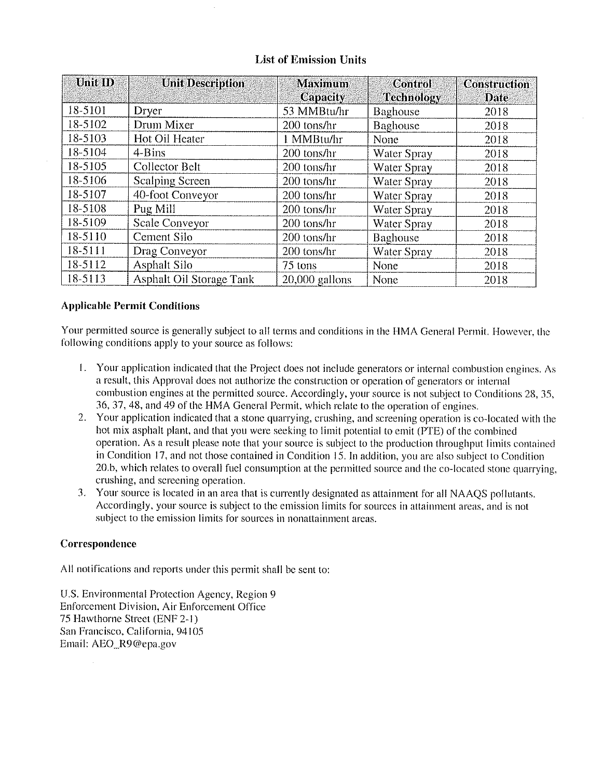| <b>List of Emission Units</b> |                          |                            |                                     |                             |
|-------------------------------|--------------------------|----------------------------|-------------------------------------|-----------------------------|
| Unit ID                       | <b>Unit Description</b>  | <b>Maximum</b><br>Capacity | <b>Control</b><br><b>Technology</b> | <b>Construction</b><br>Date |
| 18-5101                       | Dryer                    | 53 MMBtu/hr                | Baghouse                            | 2018                        |
| 18-5102                       | Drum Mixer               | 200 tons/hr                | Baghouse                            | 2018                        |
| 18-5103                       | Hot Oil Heater           | 1 MMBtu/hr                 | None                                | 2018                        |
| 18-5104                       | 4-Bins                   | 200 tons/hr                | Water Spray                         | 2018                        |
| 18-5105                       | <b>Collector Belt</b>    | 200 tons/hr                | Water Spray                         | 2018                        |
| 18-5106                       | Scalping Screen          | 200 tons/hr                | Water Spray                         | 2018                        |
| 18-5107                       | 40-foot Conveyor         | 200 tons/hr                | Water Spray                         | 2018                        |
| 18-5108                       | Pug Mill                 | 200 tons/hr                | Water Spray                         | 2018                        |
| 18-5109                       | Scale Conveyor           | 200 tons/hr                | Water Spray                         | 2018                        |
| 18-5110                       | Cement Silo              | 200 tons/hr                | Baghouse                            | 2018                        |
| 18-5111                       | Drag Conveyor            | 200 tons/hr                | Water Spray                         | 2018                        |
| 18-5112                       | <b>Asphalt Silo</b>      | 75 tons                    | <b>None</b>                         | 2018                        |
| 18-5113                       | Asphalt Oil Storage Tank | 20,000 gallons             | None                                | 2018                        |

# **List of Emission Units**

## **Applicable Permit Conditions**

Your permitted source is generally subject to all terms and conditions in the HMA General Permit. However, the following conditions apply to your source as follows:

- I, Your application indicated that the Project does not include generators or internal combustion engines, As a result, this Approval docs not authorize the construction or operation of generators or internal combustion engines at the permitted source. Accordingly, your source is not subject to Conditions 28, 35, 36, 37, 48, and 49 of the HMA General Permit, which relate to the operation of engines,
- 2. Your application indicated that a stone quarrying, crushing, and screening operation is co-located with the hot mix asphalt plant, and that you were seeking to limit potential to emit (PTE) of the combined operation. As a result please note that your source is subject to the production throughput limits contained in Condition 17, and not those contained in Condition 15. In addition, you are also subject to Condition 20.b, which relates to overall fuel consumption at the permitted source and the co-located stone quarrying, crushing, and screening operation.
- 3. Your source is located in an area that is currently designated as attainment for all NAAQS pollutants. Accordingly, your source is subject to the emission limits for sources in attainment areas, and is not subject to the emission limits for sources in nonattainment areas.

## **Correspondence**

All notifications and reports under this permit shall be sent to:

U.S. Environmental Protection Agency, Region 9 Enforcement Division, Air Enforcement Office 75 Hawthorne Street (ENF 2-1) San Francisco, California, 94105 Email: AEO\_R9@epa.gov